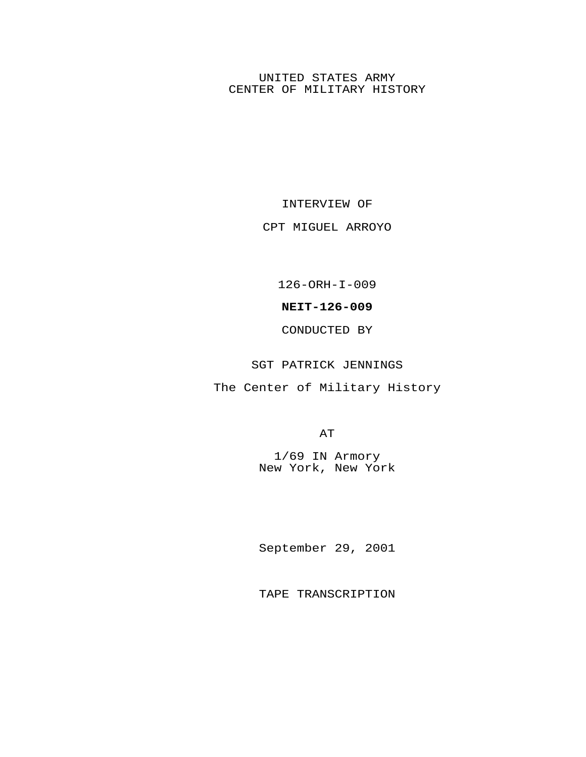## UNITED STATES ARMY CENTER OF MILITARY HISTORY

INTERVIEW OF

CPT MIGUEL ARROYO

126-ORH-I-009

**NEIT-126-009**

CONDUCTED BY

SGT PATRICK JENNINGS

The Center of Military History

AT

1/69 IN Armory New York, New York

September 29, 2001

TAPE TRANSCRIPTION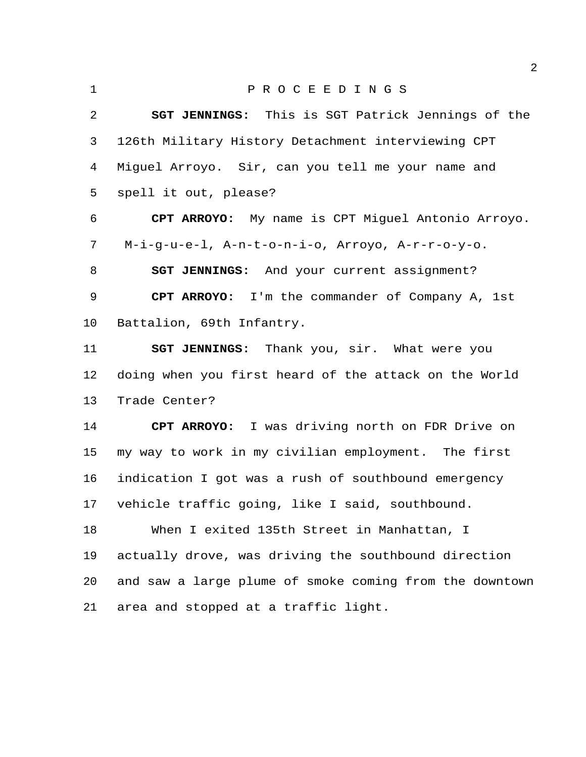P R O C E E D I N G S **SGT JENNINGS:** This is SGT Patrick Jennings of the 126th Military History Detachment interviewing CPT Miguel Arroyo. Sir, can you tell me your name and spell it out, please? **CPT ARROYO:** My name is CPT Miguel Antonio Arroyo. M-i-g-u-e-l, A-n-t-o-n-i-o, Arroyo, A-r-r-o-y-o. **SGT JENNINGS:** And your current assignment? **CPT ARROYO:** I'm the commander of Company A, 1st

Battalion, 69th Infantry.

 **SGT JENNINGS:** Thank you, sir. What were you doing when you first heard of the attack on the World Trade Center?

 **CPT ARROYO:** I was driving north on FDR Drive on my way to work in my civilian employment. The first indication I got was a rush of southbound emergency vehicle traffic going, like I said, southbound.

 When I exited 135th Street in Manhattan, I actually drove, was driving the southbound direction and saw a large plume of smoke coming from the downtown area and stopped at a traffic light.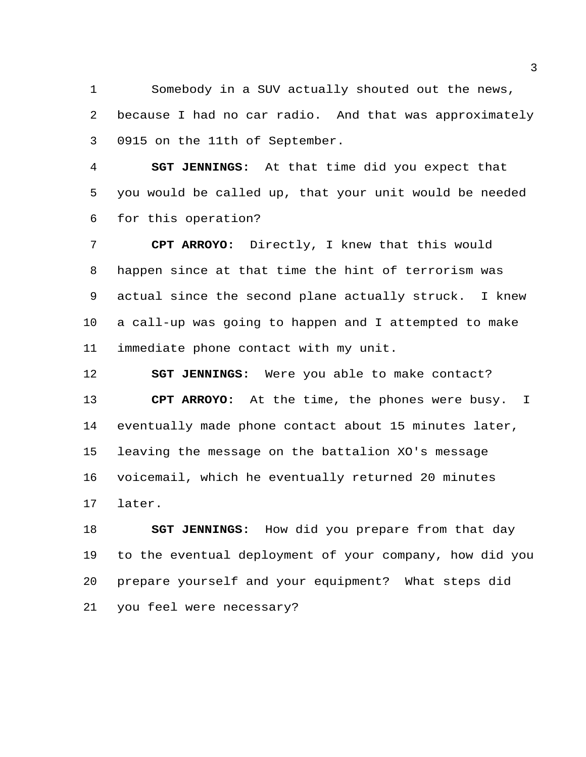Somebody in a SUV actually shouted out the news, because I had no car radio. And that was approximately 0915 on the 11th of September.

 **SGT JENNINGS:** At that time did you expect that you would be called up, that your unit would be needed for this operation?

 **CPT ARROYO:** Directly, I knew that this would happen since at that time the hint of terrorism was actual since the second plane actually struck. I knew a call-up was going to happen and I attempted to make immediate phone contact with my unit.

 **SGT JENNINGS:** Were you able to make contact? **CPT ARROYO:** At the time, the phones were busy. I eventually made phone contact about 15 minutes later, leaving the message on the battalion XO's message voicemail, which he eventually returned 20 minutes later.

 **SGT JENNINGS:** How did you prepare from that day to the eventual deployment of your company, how did you prepare yourself and your equipment? What steps did you feel were necessary?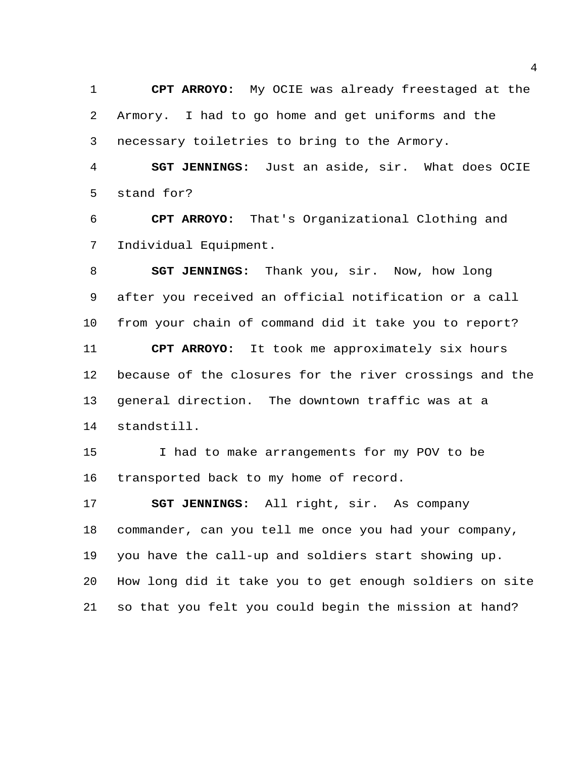**CPT ARROYO:** My OCIE was already freestaged at the Armory. I had to go home and get uniforms and the necessary toiletries to bring to the Armory.

 **SGT JENNINGS:** Just an aside, sir. What does OCIE stand for?

 **CPT ARROYO:** That's Organizational Clothing and Individual Equipment.

 **SGT JENNINGS:** Thank you, sir. Now, how long after you received an official notification or a call from your chain of command did it take you to report? **CPT ARROYO:** It took me approximately six hours because of the closures for the river crossings and the general direction. The downtown traffic was at a standstill.

 I had to make arrangements for my POV to be transported back to my home of record.

 **SGT JENNINGS:** All right, sir. As company commander, can you tell me once you had your company, you have the call-up and soldiers start showing up. How long did it take you to get enough soldiers on site so that you felt you could begin the mission at hand?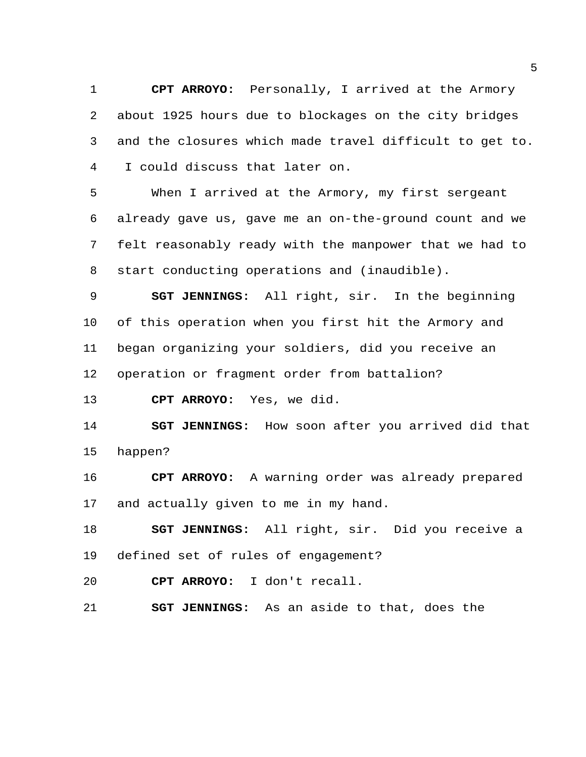**CPT ARROYO:** Personally, I arrived at the Armory about 1925 hours due to blockages on the city bridges and the closures which made travel difficult to get to. I could discuss that later on.

 When I arrived at the Armory, my first sergeant already gave us, gave me an on-the-ground count and we felt reasonably ready with the manpower that we had to start conducting operations and (inaudible).

 **SGT JENNINGS:** All right, sir. In the beginning of this operation when you first hit the Armory and began organizing your soldiers, did you receive an operation or fragment order from battalion?

**CPT ARROYO:** Yes, we did.

 **SGT JENNINGS:** How soon after you arrived did that happen?

 **CPT ARROYO:** A warning order was already prepared and actually given to me in my hand.

 **SGT JENNINGS:** All right, sir. Did you receive a defined set of rules of engagement?

**CPT ARROYO:** I don't recall.

**SGT JENNINGS:** As an aside to that, does the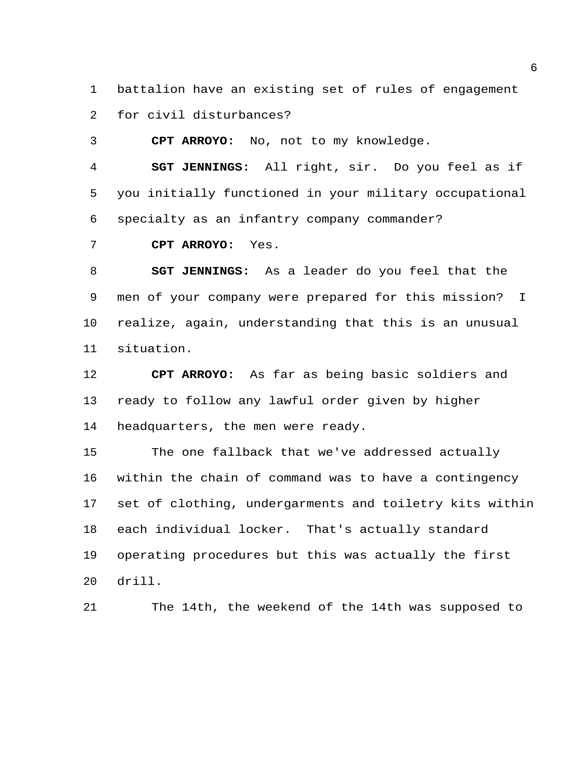battalion have an existing set of rules of engagement

for civil disturbances?

**CPT ARROYO:** No, not to my knowledge.

 **SGT JENNINGS:** All right, sir. Do you feel as if you initially functioned in your military occupational specialty as an infantry company commander?

**CPT ARROYO:** Yes.

 **SGT JENNINGS:** As a leader do you feel that the men of your company were prepared for this mission? I realize, again, understanding that this is an unusual situation.

 **CPT ARROYO:** As far as being basic soldiers and ready to follow any lawful order given by higher headquarters, the men were ready.

 The one fallback that we've addressed actually within the chain of command was to have a contingency set of clothing, undergarments and toiletry kits within each individual locker. That's actually standard operating procedures but this was actually the first drill.

The 14th, the weekend of the 14th was supposed to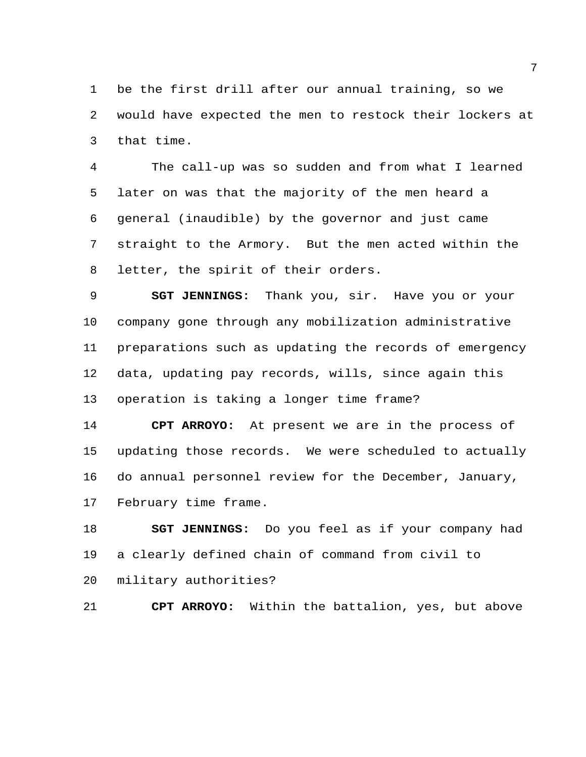be the first drill after our annual training, so we would have expected the men to restock their lockers at that time.

 The call-up was so sudden and from what I learned later on was that the majority of the men heard a general (inaudible) by the governor and just came straight to the Armory. But the men acted within the letter, the spirit of their orders.

 **SGT JENNINGS:** Thank you, sir. Have you or your company gone through any mobilization administrative preparations such as updating the records of emergency data, updating pay records, wills, since again this operation is taking a longer time frame?

 **CPT ARROYO:** At present we are in the process of updating those records. We were scheduled to actually do annual personnel review for the December, January, February time frame.

 **SGT JENNINGS:** Do you feel as if your company had a clearly defined chain of command from civil to military authorities?

**CPT ARROYO:** Within the battalion, yes, but above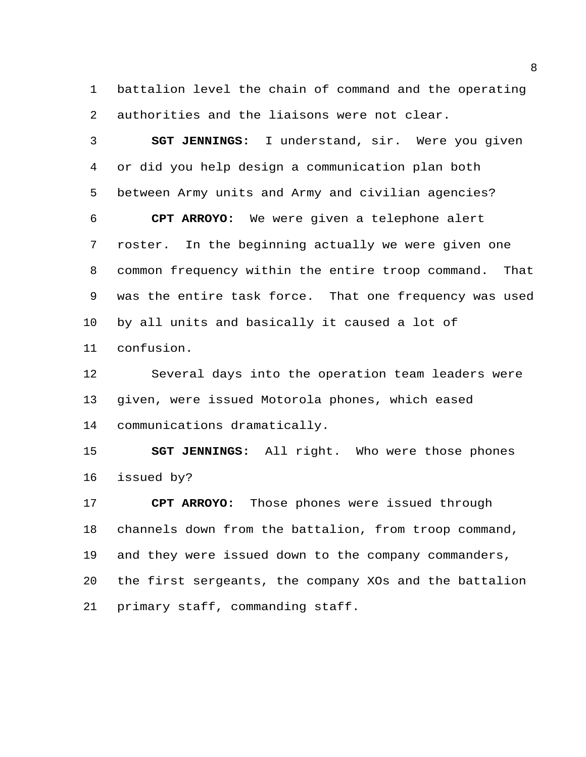battalion level the chain of command and the operating authorities and the liaisons were not clear.

 **SGT JENNINGS:** I understand, sir. Were you given or did you help design a communication plan both between Army units and Army and civilian agencies? **CPT ARROYO:** We were given a telephone alert roster. In the beginning actually we were given one common frequency within the entire troop command. That was the entire task force. That one frequency was used by all units and basically it caused a lot of confusion.

 Several days into the operation team leaders were given, were issued Motorola phones, which eased communications dramatically.

 **SGT JENNINGS:** All right. Who were those phones issued by?

 **CPT ARROYO:** Those phones were issued through channels down from the battalion, from troop command, and they were issued down to the company commanders, the first sergeants, the company XOs and the battalion primary staff, commanding staff.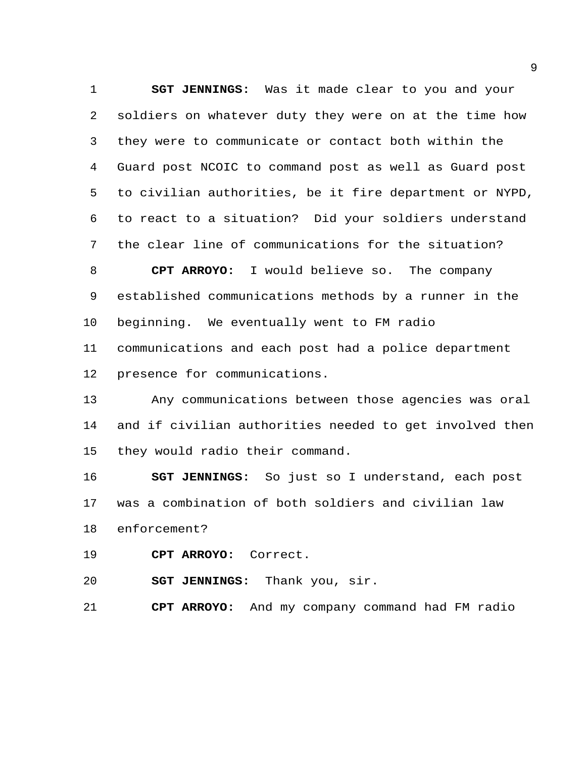**SGT JENNINGS:** Was it made clear to you and your soldiers on whatever duty they were on at the time how they were to communicate or contact both within the Guard post NCOIC to command post as well as Guard post to civilian authorities, be it fire department or NYPD, to react to a situation? Did your soldiers understand the clear line of communications for the situation?

 **CPT ARROYO:** I would believe so. The company established communications methods by a runner in the beginning. We eventually went to FM radio communications and each post had a police department

presence for communications.

 Any communications between those agencies was oral and if civilian authorities needed to get involved then they would radio their command.

 **SGT JENNINGS:** So just so I understand, each post was a combination of both soldiers and civilian law enforcement?

**CPT ARROYO:** Correct.

**SGT JENNINGS:** Thank you, sir.

**CPT ARROYO:** And my company command had FM radio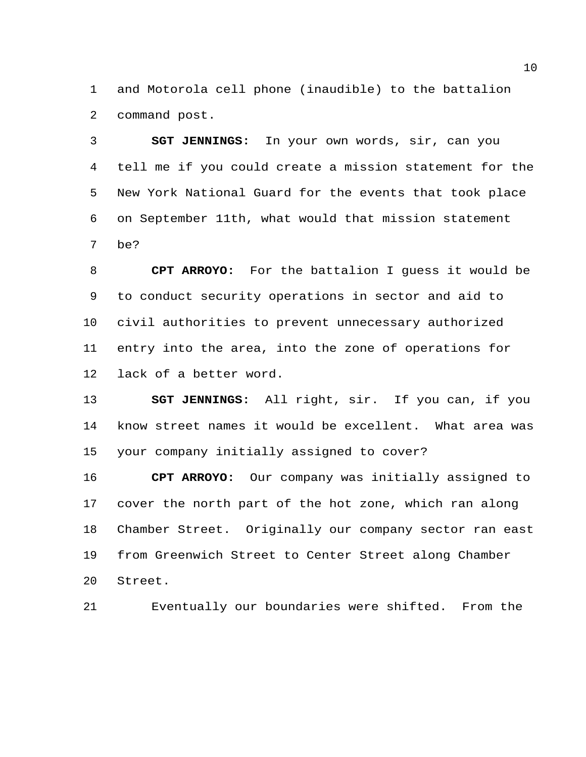and Motorola cell phone (inaudible) to the battalion command post.

 **SGT JENNINGS:** In your own words, sir, can you tell me if you could create a mission statement for the New York National Guard for the events that took place on September 11th, what would that mission statement be?

 **CPT ARROYO:** For the battalion I guess it would be to conduct security operations in sector and aid to civil authorities to prevent unnecessary authorized entry into the area, into the zone of operations for lack of a better word.

 **SGT JENNINGS:** All right, sir. If you can, if you know street names it would be excellent. What area was your company initially assigned to cover?

 **CPT ARROYO:** Our company was initially assigned to cover the north part of the hot zone, which ran along Chamber Street. Originally our company sector ran east from Greenwich Street to Center Street along Chamber Street.

Eventually our boundaries were shifted. From the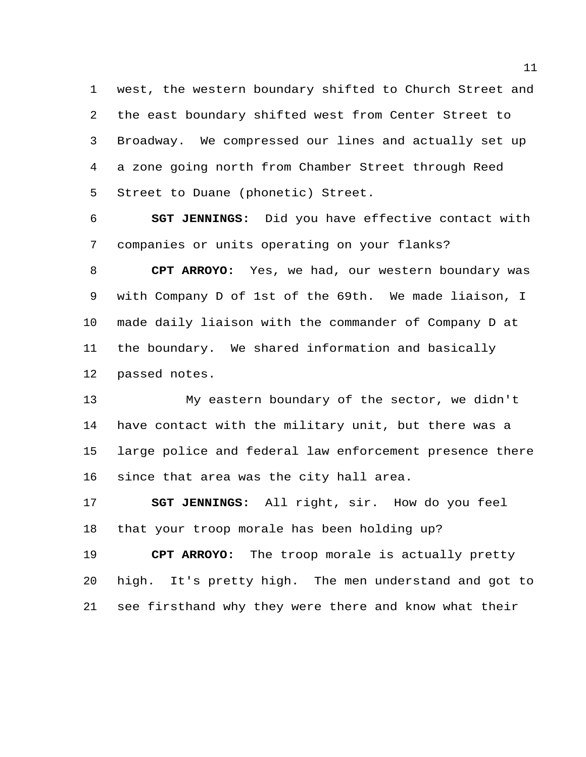west, the western boundary shifted to Church Street and the east boundary shifted west from Center Street to Broadway. We compressed our lines and actually set up a zone going north from Chamber Street through Reed Street to Duane (phonetic) Street.

 **SGT JENNINGS:** Did you have effective contact with companies or units operating on your flanks?

 **CPT ARROYO:** Yes, we had, our western boundary was with Company D of 1st of the 69th. We made liaison, I made daily liaison with the commander of Company D at the boundary. We shared information and basically passed notes.

 My eastern boundary of the sector, we didn't have contact with the military unit, but there was a large police and federal law enforcement presence there since that area was the city hall area.

 **SGT JENNINGS:** All right, sir. How do you feel that your troop morale has been holding up?

 **CPT ARROYO:** The troop morale is actually pretty high. It's pretty high. The men understand and got to see firsthand why they were there and know what their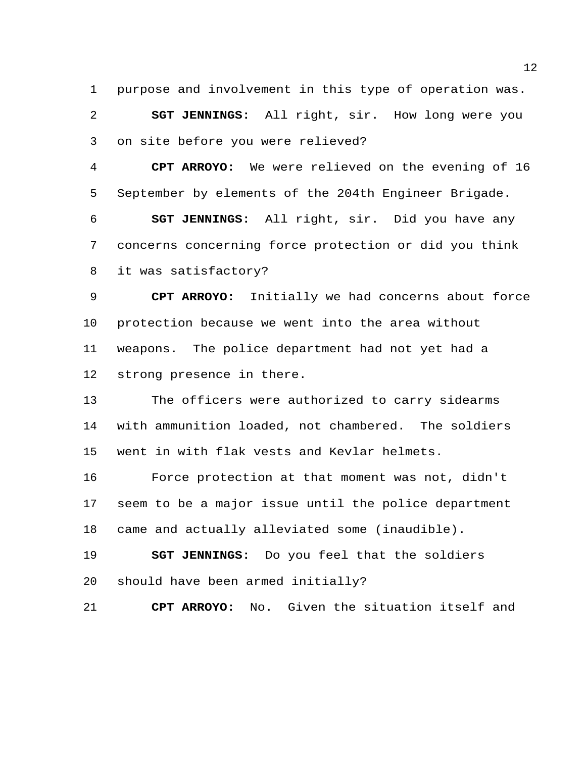purpose and involvement in this type of operation was.

 **SGT JENNINGS:** All right, sir. How long were you on site before you were relieved?

 **CPT ARROYO:** We were relieved on the evening of 16 September by elements of the 204th Engineer Brigade.

 **SGT JENNINGS:** All right, sir. Did you have any concerns concerning force protection or did you think it was satisfactory?

 **CPT ARROYO:** Initially we had concerns about force protection because we went into the area without weapons. The police department had not yet had a strong presence in there.

 The officers were authorized to carry sidearms with ammunition loaded, not chambered. The soldiers went in with flak vests and Kevlar helmets.

 Force protection at that moment was not, didn't seem to be a major issue until the police department came and actually alleviated some (inaudible).

 **SGT JENNINGS:** Do you feel that the soldiers should have been armed initially?

**CPT ARROYO:** No. Given the situation itself and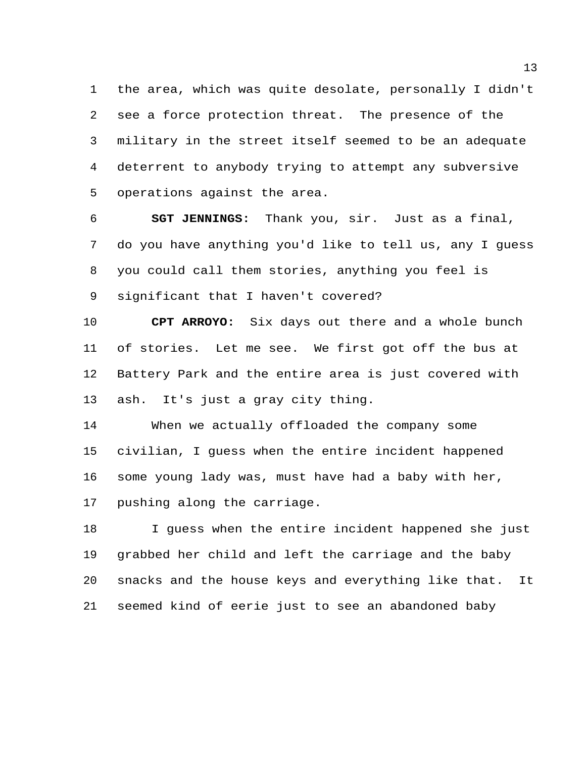the area, which was quite desolate, personally I didn't see a force protection threat. The presence of the military in the street itself seemed to be an adequate deterrent to anybody trying to attempt any subversive operations against the area.

 **SGT JENNINGS:** Thank you, sir. Just as a final, do you have anything you'd like to tell us, any I guess you could call them stories, anything you feel is significant that I haven't covered?

 **CPT ARROYO:** Six days out there and a whole bunch of stories. Let me see. We first got off the bus at Battery Park and the entire area is just covered with ash. It's just a gray city thing.

 When we actually offloaded the company some civilian, I guess when the entire incident happened some young lady was, must have had a baby with her, pushing along the carriage.

 I guess when the entire incident happened she just grabbed her child and left the carriage and the baby snacks and the house keys and everything like that. It seemed kind of eerie just to see an abandoned baby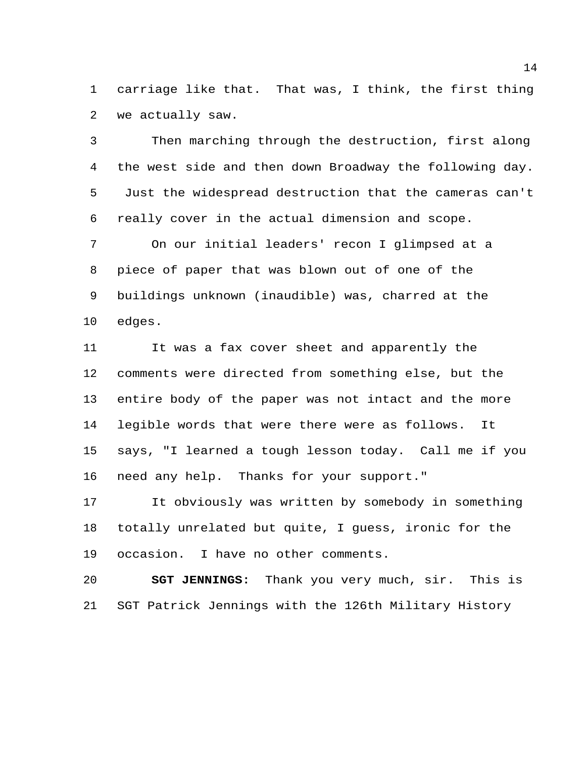carriage like that. That was, I think, the first thing we actually saw.

 Then marching through the destruction, first along the west side and then down Broadway the following day. Just the widespread destruction that the cameras can't really cover in the actual dimension and scope.

 On our initial leaders' recon I glimpsed at a piece of paper that was blown out of one of the buildings unknown (inaudible) was, charred at the edges.

 It was a fax cover sheet and apparently the comments were directed from something else, but the entire body of the paper was not intact and the more legible words that were there were as follows. It says, "I learned a tough lesson today. Call me if you need any help. Thanks for your support."

 It obviously was written by somebody in something totally unrelated but quite, I guess, ironic for the occasion. I have no other comments.

 **SGT JENNINGS:** Thank you very much, sir. This is SGT Patrick Jennings with the 126th Military History